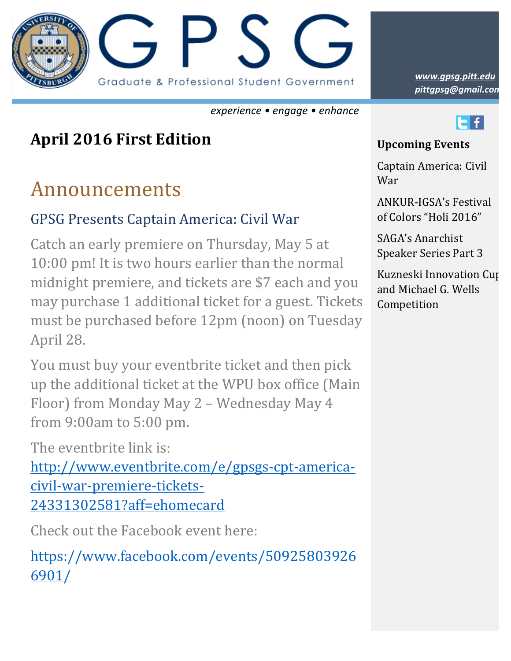

*experience • engage • enhance*

### **April 2016 First Edition**

## Announcements

#### GPSG Presents Captain America: Civil War

Catch an early premiere on Thursday, May 5 at 10:00 pm! It is two hours earlier than the normal midnight premiere, and tickets are \$7 each and you may purchase 1 additional ticket for a guest. Tickets must be purchased before 12pm (noon) on Tuesday April 28.

You must buy your eventbrite ticket and then pick up the additional ticket at the WPU box office (Main Floor) from Monday May 2 - Wednesday May 4 from 9:00am to 5:00 pm.

The eventbrite link is:

http://www.eventbrite.com/e/gpsgs-cpt-americacivil-war-premiere-tickets-24331302581?aff=ehomecard

Check out the Facebook event here:

https://www.facebook.com/events/50925803926 6901/

*pittgpsg@gmail.com www.gpsg.pitt.edu*



#### **Upcoming Events**

Captain America: Civil War

ANKUR-IGSA's Festival of Colors "Holi 2016"

SAGA's Anarchist Speaker Series Part 3

Kuzneski Innovation Cup and Michael G. Wells Competition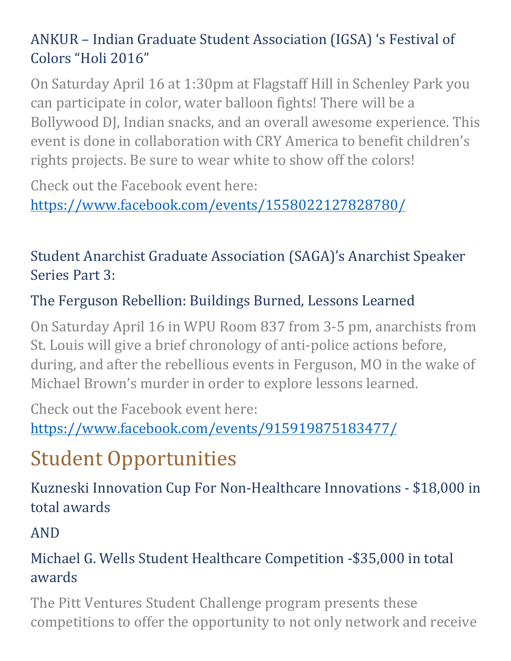#### ANKUR – Indian Graduate Student Association (IGSA) 's Festival of Colors "Holi 2016"

On Saturday April 16 at 1:30pm at Flagstaff Hill in Schenley Park you can participate in color, water balloon fights! There will be a Bollywood DJ, Indian snacks, and an overall awesome experience. This event is done in collaboration with CRY America to benefit children's rights projects. Be sure to wear white to show off the colors!

Check out the Facebook event here: https://www.facebook.com/events/1558022127828780/

#### Student Anarchist Graduate Association (SAGA)'s Anarchist Speaker Series Part 3:

#### The Ferguson Rebellion: Buildings Burned, Lessons Learned

On Saturday April 16 in WPU Room 837 from 3-5 pm, anarchists from St. Louis will give a brief chronology of anti-police actions before, during, and after the rebellious events in Ferguson, MO in the wake of Michael Brown's murder in order to explore lessons learned.

Check out the Facebook event here: https://www.facebook.com/events/915919875183477/

# **Student Opportunities**

Kuzneski Innovation Cup For Non-Healthcare Innovations - \$18,000 in total awards

#### AND

#### Michael G. Wells Student Healthcare Competition -\$35,000 in total awards

The Pitt Ventures Student Challenge program presents these competitions to offer the opportunity to not only network and receive